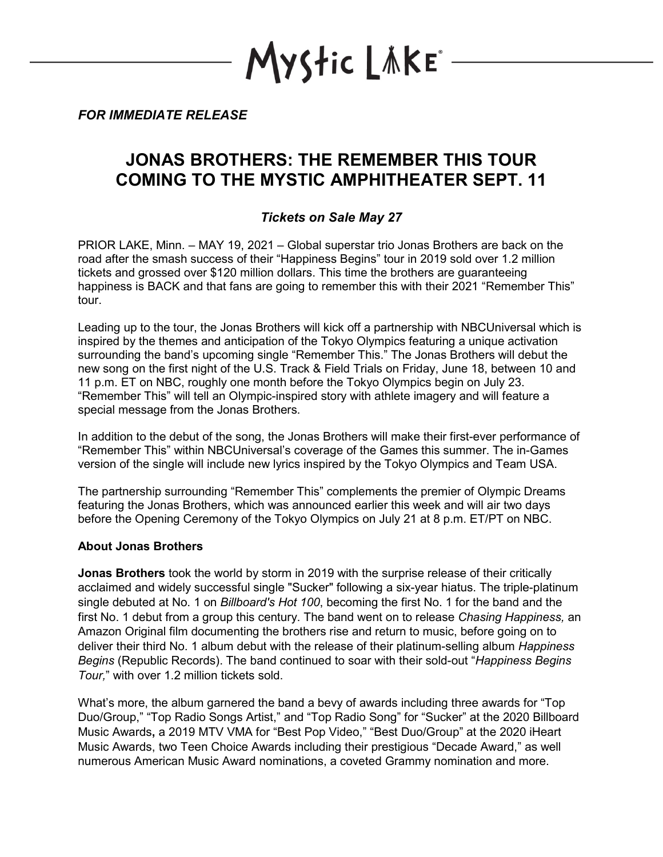YStic LÄKE\*

*FOR IMMEDIATE RELEASE*

# **JONAS BROTHERS: THE REMEMBER THIS TOUR COMING TO THE MYSTIC AMPHITHEATER SEPT. 11**

## *Tickets on Sale May 27*

PRIOR LAKE, Minn. – MAY 19, 2021 – Global superstar trio Jonas Brothers are back on the road after the smash success of their "Happiness Begins" tour in 2019 sold over 1.2 million tickets and grossed over \$120 million dollars. This time the brothers are guaranteeing happiness is BACK and that fans are going to remember this with their 2021 "Remember This" tour.

Leading up to the tour, the Jonas Brothers will kick off a partnership with NBCUniversal which is inspired by the themes and anticipation of the Tokyo Olympics featuring a unique activation surrounding the band's upcoming single "Remember This." The Jonas Brothers will debut the new song on the first night of the U.S. Track & Field Trials on Friday, June 18, between 10 and 11 p.m. ET on NBC, roughly one month before the Tokyo Olympics begin on July 23. "Remember This" will tell an Olympic-inspired story with athlete imagery and will feature a special message from the Jonas Brothers.

In addition to the debut of the song, the Jonas Brothers will make their first-ever performance of "Remember This" within NBCUniversal's coverage of the Games this summer. The in-Games version of the single will include new lyrics inspired by the Tokyo Olympics and Team USA.

The partnership surrounding "Remember This" complements the premier of Olympic Dreams featuring the Jonas Brothers, which was announced earlier this week and will air two days before the Opening Ceremony of the Tokyo Olympics on July 21 at 8 p.m. ET/PT on NBC.

#### **About Jonas Brothers**

**Jonas Brothers** took the world by storm in 2019 with the surprise release of their critically acclaimed and widely successful single "Sucker" following a six-year hiatus. The triple-platinum single debuted at No. 1 on *Billboard's Hot 100*, becoming the first No. 1 for the band and the first No. 1 debut from a group this century. The band went on to release *Chasing Happiness,* an Amazon Original film documenting the brothers rise and return to music, before going on to deliver their third No. 1 album debut with the release of their platinum-selling album *Happiness Begins* (Republic Records). The band continued to soar with their sold-out "*Happiness Begins Tour,*" with over 1.2 million tickets sold.

What's more, the album garnered the band a bevy of awards including three awards for "Top Duo/Group," "Top Radio Songs Artist," and "Top Radio Song" for "Sucker" at the 2020 Billboard Music Awards**,** a 2019 MTV VMA for "Best Pop Video," "Best Duo/Group" at the 2020 iHeart Music Awards, two Teen Choice Awards including their prestigious "Decade Award," as well numerous American Music Award nominations, a coveted Grammy nomination and more.